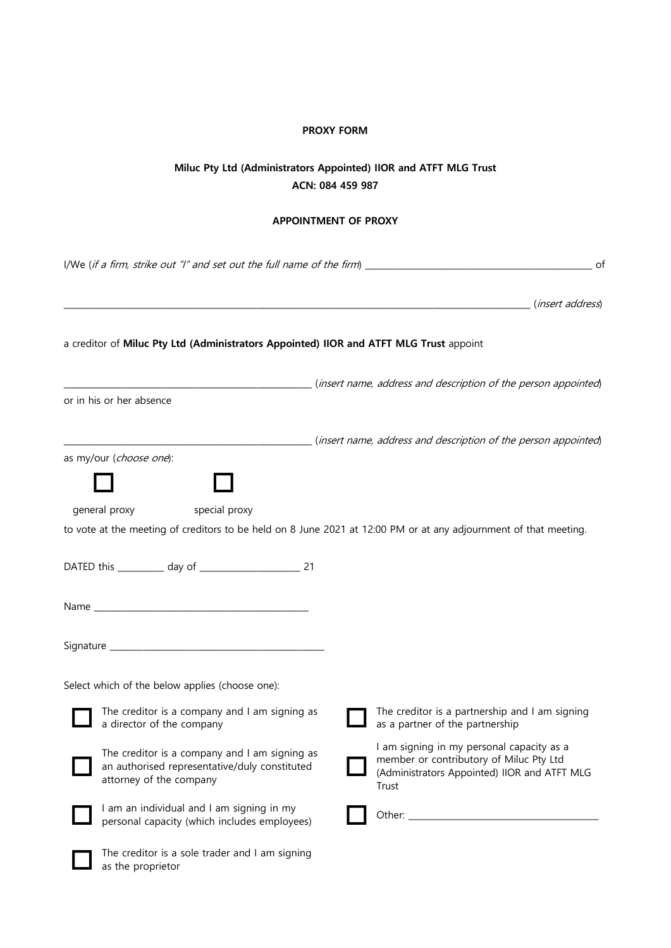## **PROXY FORM**

## **Miluc Pty Ltd (Administrators Appointed) IIOR and ATFT MLG Trust ACN: 084 459 987**

## **APPOINTMENT OF PROXY**

|                                                                                                                           | I/We (if a firm, strike out "I" and set out the full name of the firm) $\frac{1}{\sqrt{2}}$<br>of                                             |
|---------------------------------------------------------------------------------------------------------------------------|-----------------------------------------------------------------------------------------------------------------------------------------------|
|                                                                                                                           | ( <i>insert address</i> )                                                                                                                     |
| a creditor of Miluc Pty Ltd (Administrators Appointed) IIOR and ATFT MLG Trust appoint                                    |                                                                                                                                               |
| or in his or her absence                                                                                                  | (insert name, address and description of the person appointed)                                                                                |
|                                                                                                                           | (insert name, address and description of the person appointed)                                                                                |
| as my/our (choose one):<br>general proxy<br>special proxy                                                                 | to vote at the meeting of creditors to be held on 8 June 2021 at 12:00 PM or at any adjournment of that meeting.                              |
|                                                                                                                           |                                                                                                                                               |
|                                                                                                                           |                                                                                                                                               |
|                                                                                                                           |                                                                                                                                               |
| Select which of the below applies (choose one):                                                                           |                                                                                                                                               |
| The creditor is a company and I am signing as<br>a director of the company                                                | The creditor is a partnership and I am signing<br>as a partner of the partnership                                                             |
| The creditor is a company and I am signing as<br>an authorised representative/duly constituted<br>attorney of the company | I am signing in my personal capacity as a<br>member or contributory of Miluc Pty Ltd<br>(Administrators Appointed) IIOR and ATFT MLG<br>Trust |
| I am an individual and I am signing in my<br>personal capacity (which includes employees)                                 |                                                                                                                                               |
| The creditor is a sole trader and I am signing<br>as the proprietor                                                       |                                                                                                                                               |